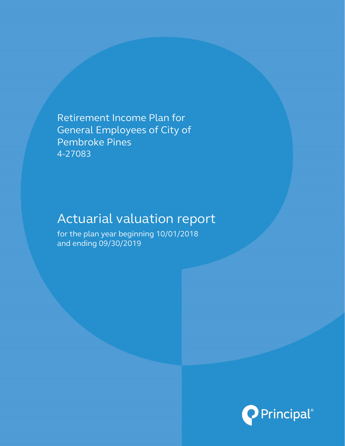Retirement Income Plan for General Employees of City of Pembroke Pines 4-27083

# Actuarial valuation report

for the plan year beginning 10/01/2018 and ending 09/30/2019

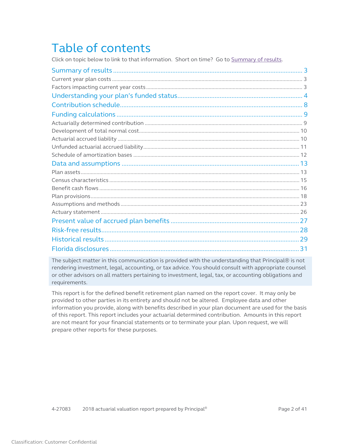# Table of contents

Click on topic below to link to that information. Short on time? Go t[o Summary of results.](#page-2-0)

| 31 |
|----|

The subject matter in this communication is provided with the understanding that Principal® is not rendering investment, legal, accounting, or tax advice. You should consult with appropriate counsel or other advisors on all matters pertaining to investment, legal, tax, or accounting obligations and requirements.

This report is for the defined benefit retirement plan named on the report cover. It may only be provided to other parties in its entirety and should not be altered. Employee data and other information you provide, along with benefits described in your plan document are used for the basis of this report. This report includes your actuarial determined contribution. Amounts in this report are not meant for your financial statements or to terminate your plan. Upon request, we will prepare other reports for these purposes.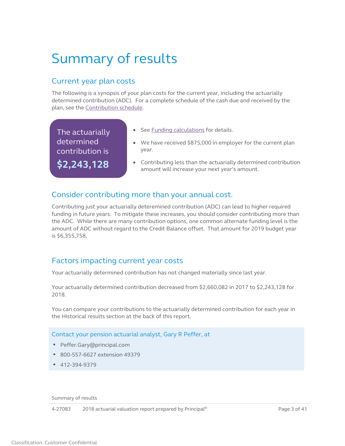# <span id="page-2-0"></span>Summary of results

# Current year plan costs

The following is a synopsis of your plan costs for the current year, including the actuarially determined contribution (ADC). For a complete schedule of the cash due and received by the plan, see the [Contribution schedule.](#page-7-1)

The actuarially determined contribution is **\$2,243,128**

- <span id="page-2-2"></span><span id="page-2-1"></span>• See [Funding calculations](#page-8-2) for details.
- We have received \$875,000 in employer for the current plan year.
- <span id="page-2-3"></span>• Contributing less than the actuarially determined contribution amount will increase your next year's amount.

## Consider contributing more than your annual cost.

Contributing just your actuarially deteremined contribution (ADC) can lead to higher required funding in future years. To mitigate these increases, you should consider contributing more than the ADC. While there are many contribution options, one common alternate funding level is the amount of ADC without regard to the Credit Balance offset. That amount for 2019 budget year is \$6,355,758,

## Factors impacting current year costs

Your actuarially determined contribution has not changed materially since last year.

Your actuarially determined contribution decreased from \$2,660,082 in 2017 to \$2,243,128 for 2018.

You can compare your contributions to the actuarially determined contribution for each year in the Historical results section at the back of this report.

### Contact your pension actuarial analyst, Gary R Peffer, at

- Peffer.Gary@principal.com
- 800-557-6627 extension 49379
- 412-394-9379

Summary of results

4-27083 2018 actuarial valuation report prepared by Principal<sup>®</sup> Page 3 of 41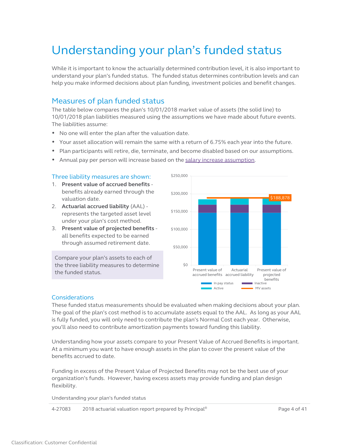# Understanding your plan's funded status

While it is important to know the actuarially determined contribution level, it is also important to understand your plan's funded status. The funded status determines contribution levels and can help you make informed decisions about plan funding, investment policies and benefit changes.

## Measures of plan funded status

The table below compares the plan's 10/01/2018 market value of assets (the solid line) to 10/01/2018 plan liabilities measured using the assumptions we have made about future events. The liabilities assume:

- No one will enter the plan after the valuation date.
- Your asset allocation will remain the same with a return of 6.75% each year into the future.
- Plan participants will retire, die, terminate, and become disabled based on our assumptions.
- Annual pay per person will increase based on the [salary increase assumption.](#page-23-0)

#### Three liability measures are shown:

- 1. **Present value of accrued benefits** benefits already earned through the valuation date.
- 2. **Actuarial accrued liability** (AAL) represents the targeted asset level under your plan's cost method.
- 3. **Present value of projected benefits** all benefits expected to be earned through assumed retirement date.

Compare your plan's assets to each of the three liability measures to determine the funded status.

<span id="page-3-0"></span>

#### **Considerations**

These funded status measurements should be evaluated when making decisions about your plan. The goal of the plan's cost method is to accumulate assets equal to the AAL. As long as your AAL is fully funded, you will only need to contribute the plan's Normal Cost each year. Otherwise, you'll also need to contribute amortization payments toward funding this liability.

Understanding how your assets compare to your Present Value of Accrued Benefits is important. At a minimum you want to have enough assets in the plan to cover the present value of the benefits accrued to date.

Funding in excess of the Present Value of Projected Benefits may not be the best use of your organization's funds. However, having excess assets may provide funding and plan design flexibility.

Understanding your plan's funded status

4-27083 2018 actuarial valuation report prepared by Principal<sup>®</sup> Page 4 of 41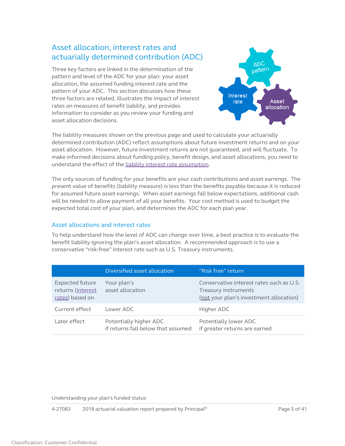## Asset allocation, interest rates and actuarially determined contribution (ADC)

Three key factors are linked in the determination of the pattern and level of the ADC for your plan: your asset allocation, the assumed funding interest rate and the pattern of your ADC. This section discusses how these three factors are related, illustrates the impact of interest rates on measures of benefit liability, and provides information to consider as you review your funding and asset allocation decisions.



The liability measures shown on the previous page and used to calculate your actuarially determined contribution (ADC) reflect assumptions about future investment returns and on your asset allocation. However, future investment returns are not guaranteed, and will fluctuate. To make informed decisions about funding policy, benefit design, and asset allocations, you need to understand the effect of the [liability interest rate assumption.](#page-22-1) 

The only sources of funding for your benefits are your cash contributions and asset earnings. The present value of benefits (liability measure) is less than the benefits payable because it is reduced for assumed future asset earnings. When asset earnings fall below expectations, additional cash will be needed to allow payment of all your benefits. Your cost method is used to budget the expected total cost of your plan, and determines the ADC for each plan year.

#### Asset allocations and interest rates

To help understand how the level of ADC can change over time, a best practice is to evaluate the benefit liability ignoring the plan's asset allocation. A recommended approach is to use a conservative "risk-free" interest rate such as U.S. Treasury instruments.

|                                                                | Diversified asset allocation                                 | "Risk free" return                                                                                          |
|----------------------------------------------------------------|--------------------------------------------------------------|-------------------------------------------------------------------------------------------------------------|
| <b>Expected future</b><br>returns (interest<br>rates) based on | Your plan's<br>asset allocation                              | Conservative interest rates such as U.S.<br>Treasury instruments<br>(not your plan's investment allocation) |
| Current effect                                                 | Lower ADC                                                    | Higher ADC                                                                                                  |
| Later effect                                                   | Potentially higher ADC<br>if returns fall below that assumed | Potentially lower ADC<br>if greater returns are earned                                                      |

Understanding your plan's funded status

4-27083 2018 actuarial valuation report prepared by Principal<sup>®</sup> Page 1 and 2018 2018 Page 5 of 41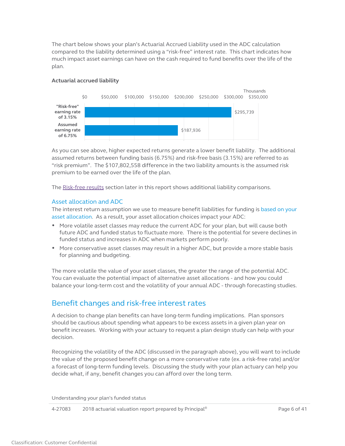The chart below shows your plan's Actuarial Accrued Liability used in the ADC calculation compared to the liability determined using a "risk-free" interest rate. This chart indicates how much impact asset earnings can have on the cash required to fund benefits over the life of the plan.

#### **Actuarial accrued liability**



As you can see above, higher expected returns generate a lower benefit liability. The additional assumed returns between funding basis (6.75%) and risk-free basis (3.15%) are referred to as "risk premium". The \$107,802,558 difference in the two liability amounts is the assumed risk premium to be earned over the life of the plan.

The [Risk-free results](#page-27-1) section later in this report shows additional liability comparisons.

#### Asset allocation and ADC

The interest return assumption we use to measure benefit liabilities for funding is based on your asset allocation. As a result, your asset allocation choices impact your ADC:

- More volatile asset classes may reduce the current ADC for your plan, but will cause both future ADC and funded status to fluctuate more. There is the potential for severe declines in funded status and increases in ADC when markets perform poorly.
- More conservative asset classes may result in a higher ADC, but provide a more stable basis for planning and budgeting.

The more volatile the value of your asset classes, the greater the range of the potential ADC. You can evaluate the potential impact of alternative asset allocations - and how you could balance your long-term cost and the volatility of your annual ADC - through forecasting studies.

## Benefit changes and risk-free interest rates

A decision to change plan benefits can have long-term funding implications. Plan sponsors should be cautious about spending what appears to be excess assets in a given plan year on benefit increases. Working with your actuary to request a plan design study can help with your decision.

Recognizing the volatility of the ADC (discussed in the paragraph above), you will want to include the value of the proposed benefit change on a more conservative rate (ex. a risk-free rate) and/or a forecast of long-term funding levels. Discussing the study with your plan actuary can help you decide what, if any, benefit changes you can afford over the long term.

Understanding your plan's funded status

4-27083 2018 actuarial valuation report prepared by Principal<sup>®</sup> Page 6 of 41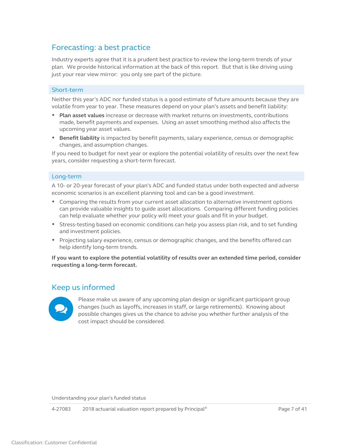## Forecasting: a best practice

Industry experts agree that it is a prudent best practice to review the long-term trends of your plan. We provide historical information at the back of this report. But that is like driving using just your rear view mirror: you only see part of the picture.

#### Short-term

Neither this year's ADC nor funded status is a good estimate of future amounts because they are volatile from year to year. These measures depend on your plan's assets and benefit liability:

- **Plan asset values** increase or decrease with market returns on investments, contributions made, benefit payments and expenses. Using an asset smoothing method also affects the upcoming year asset values.
- **Benefit liability** is impacted by benefit payments, salary experience, census or demographic changes, and assumption changes.

If you need to budget for next year or explore the potential volatility of results over the next few years, consider requesting a short-term forecast.

#### Long-term

A 10- or 20-year forecast of your plan's ADC and funded status under both expected and adverse economic scenarios is an excellent planning tool and can be a good investment.

- Comparing the results from your current asset allocation to alternative investment options can provide valuable insights to guide asset allocations. Comparing different funding policies can help evaluate whether your policy will meet your goals and fit in your budget.
- Stress-testing based on economic conditions can help you assess plan risk, and to set funding and investment policies.
- Projecting salary experience, census or demographic changes, and the benefits offered can help identify long-term trends.

**If you want to explore the potential volatility of results over an extended time period, consider requesting a long-term forecast.**

## Keep us informed



Please make us aware of any upcoming plan design or significant participant group changes (such as layoffs, increases in staff, or large retirements). Knowing about possible changes gives us the chance to advise you whether further analysis of the cost impact should be considered.

Understanding your plan's funded status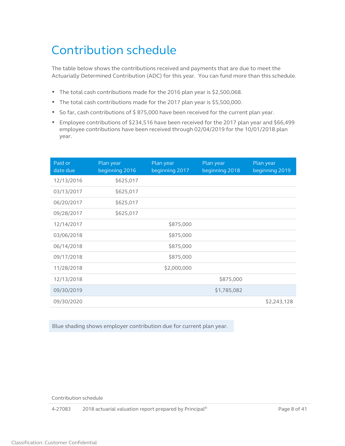# <span id="page-7-1"></span><span id="page-7-0"></span>Contribution schedule

The table below shows the contributions received and payments that are due to meet the Actuarially Determined Contribution (ADC) for this year. You can fund more than this schedule.

- The total cash contributions made for the 2016 plan year is \$2,500,068.
- The total cash contributions made for the 2017 plan year is \$5,500,000.
- So far, cash contributions of \$ 875,000 have been received for the current plan year.
- Employee contributions of \$234,516 have been received for the 2017 plan year and \$66,499 employee contributions have been received through 02/04/2019 for the 10/01/2018 plan year.

| Paid or<br>date due | Plan year<br>beginning 2016 | Plan year<br>beginning 2017 | Plan year<br>beginning 2018 | Plan year<br>beginning 2019 |
|---------------------|-----------------------------|-----------------------------|-----------------------------|-----------------------------|
| 12/13/2016          | \$625,017                   |                             |                             |                             |
| 03/13/2017          | \$625,017                   |                             |                             |                             |
| 06/20/2017          | \$625,017                   |                             |                             |                             |
| 09/28/2017          | \$625,017                   |                             |                             |                             |
| 12/14/2017          |                             | \$875,000                   |                             |                             |
| 03/06/2018          |                             | \$875,000                   |                             |                             |
| 06/14/2018          |                             | \$875,000                   |                             |                             |
| 09/17/2018          |                             | \$875,000                   |                             |                             |
| 11/28/2018          |                             | \$2,000,000                 |                             |                             |
| 12/13/2018          |                             |                             | \$875,000                   |                             |
| 09/30/2019          |                             |                             | \$1,785,082                 |                             |
| 09/30/2020          |                             |                             |                             | \$2,243,128                 |

Blue shading shows employer contribution due for current plan year.

Contribution schedule

4-27083 2018 actuarial valuation report prepared by Principal<sup>®</sup> Page 8 of 41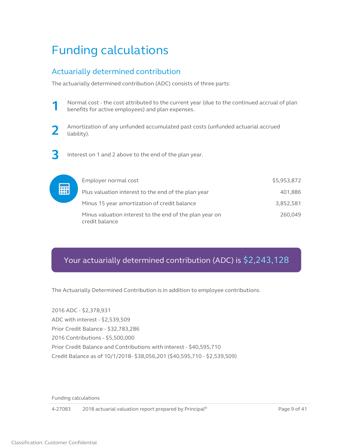# <span id="page-8-2"></span><span id="page-8-0"></span>Funding calculations

## <span id="page-8-1"></span>Actuarially determined contribution

The actuarially determined contribution (ADC) consists of three parts:





**3** Interest on 1 and 2 above to the end of the plan year.



# Your actuarially determined contribution (ADC) is \$2,243,128

The Actuarially Determined Contribution is in addition to employee contributions.

2016 ADC - \$2,378,931 ADC with interest - \$2,539,509 Prior Credit Balance - \$32,783,286 2016 Contributions - \$5,500,000 Prior Credit Balance and Contributions with interest - \$40,595,710 Credit Balance as of 10/1/2018- \$38,056,201 (\$40,595,710 - \$2,539,509)

Funding calculations

4-27083 2018 actuarial valuation report prepared by Principal® Page 9 of 41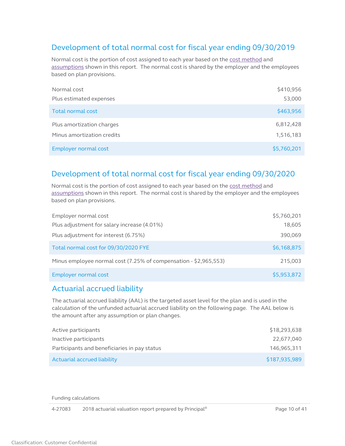# <span id="page-9-0"></span>Development of total normal cost for fiscal year ending 09/30/2019

Normal cost is the portion of cost assigned to each year based on th[e cost method](#page-24-0) and [assumptions](#page-22-2) shown in this report. The normal cost is shared by the employer and the employees based on plan provisions.

| Normal cost                | \$410,956   |
|----------------------------|-------------|
| Plus estimated expenses    | 53,000      |
| Total normal cost          | \$463,956   |
| Plus amortization charges  | 6,812,428   |
| Minus amortization credits | 1,516,183   |
| Employer normal cost       | \$5,760,201 |

## Development of total normal cost for fiscal year ending 09/30/2020

Normal cost is the portion of cost assigned to each year based on th[e cost method](#page-24-0) and [assumptions](#page-22-2) shown in this report. The normal cost is shared by the employer and the employees based on plan provisions.

| Employer normal cost                                             | \$5,760,201 |
|------------------------------------------------------------------|-------------|
| Plus adjustment for salary increase (4.01%)                      | 18,605      |
| Plus adjustment for interest (6.75%)                             | 390,069     |
| Total normal cost for 09/30/2020 FYE                             | \$6,168,875 |
| Minus employee normal cost (7.25% of compensation - \$2,965,553) | 215,003     |
| Employer normal cost                                             | \$5,953,872 |

## <span id="page-9-1"></span>Actuarial accrued liability

The actuarial accrued liability (AAL) is the targeted asset level for the plan and is used in the calculation of the unfunded actuarial accrued liability on the following page. The AAL below is the amount after any assumption or plan changes.

| Active participants                          | \$18,293,638  |
|----------------------------------------------|---------------|
| Inactive participants                        | 22.677.040    |
| Participants and beneficiaries in pay status | 146.965.311   |
| Actuarial accrued liability                  | \$187,935,989 |

Funding calculations

4-27083 2018 actuarial valuation report prepared by Principal<sup>®</sup> Page 10 of 41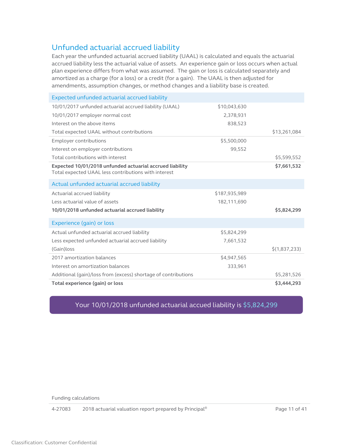## <span id="page-10-0"></span>Unfunded actuarial accrued liability

Each year the unfunded actuarial accrued liability (UAAL) is calculated and equals the actuarial accrued liability less the actuarial value of assets. An experience gain or loss occurs when actual plan experience differs from what was assumed. The gain or loss is calculated separately and amortized as a charge (for a loss) or a credit (for a gain). The UAAL is then adjusted for amendments, assumption changes, or method changes and a liability base is created.

| Expected unfunded actuarial accrued liability                                                                    |               |               |
|------------------------------------------------------------------------------------------------------------------|---------------|---------------|
| 10/01/2017 unfunded actuarial accrued liability (UAAL)                                                           | \$10,043,630  |               |
| 10/01/2017 employer normal cost                                                                                  | 2,378,931     |               |
| Interest on the above items                                                                                      | 838,523       |               |
| Total expected UAAL without contributions                                                                        |               | \$13,261,084  |
| <b>Employer contributions</b>                                                                                    | \$5,500,000   |               |
| Interest on employer contributions                                                                               | 99,552        |               |
| Total contributions with interest                                                                                |               | \$5,599,552   |
| Expected 10/01/2018 unfunded actuarial accrued liability<br>Total expected UAAL less contributions with interest |               | \$7,661,532   |
| Actual unfunded actuarial accrued liability                                                                      |               |               |
| Actuarial accrued liability                                                                                      | \$187,935,989 |               |
| Less actuarial value of assets                                                                                   | 182,111,690   |               |
| 10/01/2018 unfunded actuarial accrued liability                                                                  |               | \$5,824,299   |
| Experience (gain) or loss                                                                                        |               |               |
| Actual unfunded actuarial accrued liability                                                                      | \$5,824,299   |               |
| Less expected unfunded actuarial accrued liability                                                               | 7,661,532     |               |
| (Gain) loss                                                                                                      |               | \$(1,837,233) |
| 2017 amortization balances                                                                                       | \$4,947,565   |               |
| Interest on amortization balances                                                                                | 333,961       |               |
| Additional (gain)/loss from (excess) shortage of contributions                                                   |               | \$5,281,526   |
| Total experience (gain) or loss                                                                                  |               | \$3,444,293   |

## Your 10/01/2018 unfunded actuarial accued liability is \$5,824,299

Funding calculations

4-27083 2018 actuarial valuation report prepared by Principal<sup>®</sup> Page 11 of 41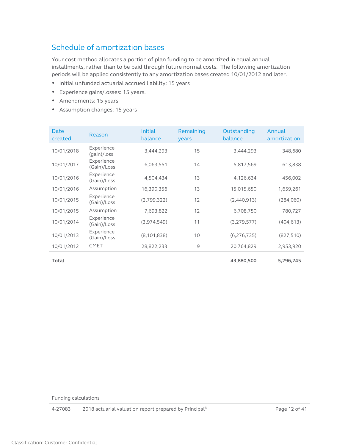# <span id="page-11-1"></span><span id="page-11-0"></span>Schedule of amortization bases

Your cost method allocates a portion of plan funding to be amortized in equal annual installments, rather than to be paid through future normal costs. The following amortization periods will be applied consistently to any amortization bases created 10/01/2012 and later.

- Initial unfunded actuarial accrued liability: 15 years
- Experience gains/losses: 15 years.
- Amendments: 15 years
- Assumption changes: 15 years

| Date<br>created | Reason                    | <b>Initial</b><br>balance | Remaining<br>years | Outstanding<br>balance | Annual<br>amortization |
|-----------------|---------------------------|---------------------------|--------------------|------------------------|------------------------|
| 10/01/2018      | Experience<br>(gain)/loss | 3,444,293                 | 15                 | 3,444,293              | 348,680                |
| 10/01/2017      | Experience<br>(Gain)/Loss | 6,063,551                 | 14                 | 5,817,569              | 613,838                |
| 10/01/2016      | Experience<br>(Gain)/Loss | 4,504,434                 | 13                 | 4,126,634              | 456,002                |
| 10/01/2016      | Assumption                | 16,390,356                | 13                 | 15,015,650             | 1,659,261              |
| 10/01/2015      | Experience<br>(Gain)/Loss | (2,799,322)               | 12                 | (2,440,913)            | (284,060)              |
| 10/01/2015      | Assumption                | 7,693,822                 | 12                 | 6,708,750              | 780,727                |
| 10/01/2014      | Experience<br>(Gain)/Loss | (3, 974, 549)             | 11                 | (3,279,577)            | (404, 613)             |
| 10/01/2013      | Experience<br>(Gain)/Loss | (8, 101, 838)             | 10                 | (6, 276, 735)          | (827, 510)             |
| 10/01/2012      | <b>CMET</b>               | 28,822,233                | 9                  | 20,764,829             | 2,953,920              |
| Total           |                           |                           |                    | 43,880,500             | 5,296,245              |

Funding calculations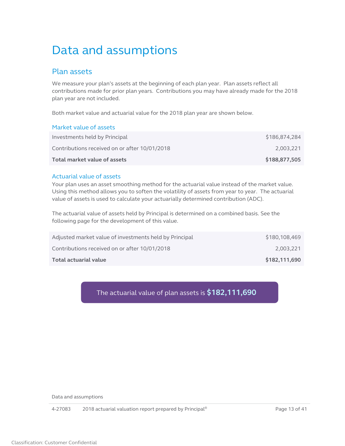# <span id="page-12-0"></span>Data and assumptions

## <span id="page-12-1"></span>Plan assets

We measure your plan's assets at the beginning of each plan year. Plan assets reflect all contributions made for prior plan years. Contributions you may have already made for the 2018 plan year are not included.

Both market value and actuarial value for the 2018 plan year are shown below.

#### Market value of assets

| Total market value of assets                  | \$188,877,505 |
|-----------------------------------------------|---------------|
| Contributions received on or after 10/01/2018 | 2.003.221     |
| Investments held by Principal                 | \$186,874,284 |

#### Actuarial value of assets

Your plan uses an asset smoothing method for the actuarial value instead of the market value. Using this method allows you to soften the volatility of assets from year to year. The actuarial value of assets is used to calculate your actuarially determined contribution (ADC).

The actuarial value of assets held by Principal is determined on a combined basis. See the following page for the development of this value.

| Total actuarial value                                  | \$182,111,690 |
|--------------------------------------------------------|---------------|
| Contributions received on or after 10/01/2018          | 2.003.221     |
| Adjusted market value of investments held by Principal | \$180,108,469 |

## The actuarial value of plan assets is **\$182,111,690**

Data and assumptions

4-27083 2018 actuarial valuation report prepared by Principal<sup>®</sup> Page 13 of 41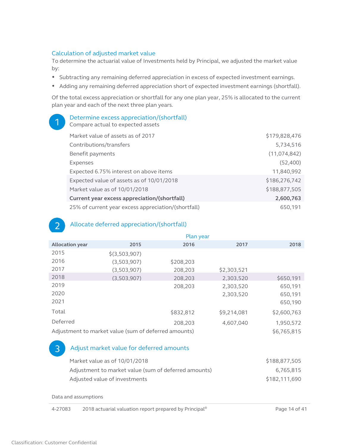#### Calculation of adjusted market value

To determine the actuarial value of Investments held by Principal, we adjusted the market value by:

- Subtracting any remaining deferred appreciation in excess of expected investment earnings.
- Adding any remaining deferred appreciation short of expected investment earnings (shortfall).

Of the total excess appreciation or shortfall for any one plan year, 25% is allocated to the current plan year and each of the next three plan years.

| Determine excess appreciation/(shortfall)<br>Compare actual to expected assets |               |
|--------------------------------------------------------------------------------|---------------|
| Market value of assets as of 2017                                              | \$179,828,476 |
| Contributions/transfers                                                        | 5,734,516     |
| Benefit payments                                                               | (11,074,842)  |
| Expenses                                                                       | (52,400)      |
| Expected 6.75% interest on above items                                         | 11,840,992    |
| Expected value of assets as of 10/01/2018                                      | \$186,276,742 |
| Market value as of 10/01/2018                                                  | \$188,877,505 |
| Current year excess appreciation/(shortfall)                                   | 2,600,763     |
| 25% of current year excess appreciation/(shortfall)                            | 650,191       |

### Allocate deferred appreciation/(shortfall)

|                        | Plan year                                            |           |             |             |
|------------------------|------------------------------------------------------|-----------|-------------|-------------|
| <b>Allocation year</b> | 2015                                                 | 2016      | 2017        | 2018        |
| 2015                   | $$$ (3,503,907)                                      |           |             |             |
| 2016                   | (3,503,907)                                          | \$208,203 |             |             |
| 2017                   | (3,503,907)                                          | 208.203   | \$2,303,521 |             |
| 2018                   | (3,503,907)                                          | 208,203   | 2.303.520   | \$650,191   |
| 2019                   |                                                      | 208,203   | 2,303,520   | 650,191     |
| 2020                   |                                                      |           | 2,303,520   | 650,191     |
| 2021                   |                                                      |           |             | 650,190     |
| Total                  |                                                      | \$832,812 | \$9,214,081 | \$2,600,763 |
| Deferred               |                                                      | 208,203   | 4.607.040   | 1,950,572   |
|                        | Adjustment to market value (sum of deferred amounts) |           |             | \$6,765,815 |

### Adjust market value for deferred amounts

| Market value as of 10/01/2018                        | \$188,877,505 |
|------------------------------------------------------|---------------|
| Adjustment to market value (sum of deferred amounts) | 6.765.815     |
| Adjusted value of investments                        | \$182,111,690 |

Data and assumptions

4-27083 2018 actuarial valuation report prepared by Principal® Page 14 of 41

 $\mathcal{P}$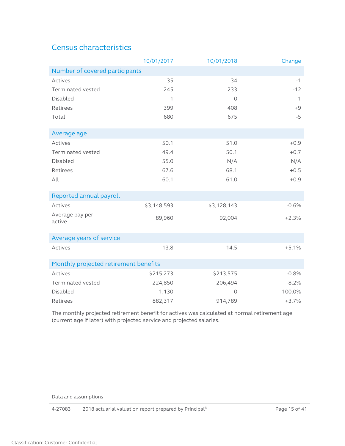# <span id="page-14-1"></span><span id="page-14-0"></span>Census characteristics

|                                       | 10/01/2017  | 10/01/2018  | Change    |
|---------------------------------------|-------------|-------------|-----------|
| Number of covered participants        |             |             |           |
| Actives                               | 35          | 34          | $-1$      |
| <b>Terminated vested</b>              | 245         | 233         | $-12$     |
| <b>Disabled</b>                       | 1           | $\circ$     | $-1$      |
| Retirees                              | 399         | 408         | $+9$      |
| Total                                 | 680         | 675         | $-5$      |
| Average age                           |             |             |           |
| Actives                               | 50.1        | 51.0        | $+0.9$    |
| Terminated vested                     | 49.4        | 50.1        | $+0.7$    |
| Disabled                              | 55.0        | N/A         | N/A       |
| Retirees                              | 67.6        | 68.1        | $+0.5$    |
| All                                   | 60.1        | 61.0        | $+0.9$    |
| Reported annual payroll               |             |             |           |
| Actives                               | \$3,148,593 | \$3,128,143 | $-0.6%$   |
| Average pay per<br>active             | 89,960      | 92,004      | $+2.3%$   |
| Average years of service              |             |             |           |
| Actives                               | 13.8        | 14.5        | $+5.1%$   |
| Monthly projected retirement benefits |             |             |           |
| Actives                               | \$215,273   | \$213,575   | $-0.8%$   |
| <b>Terminated vested</b>              | 224,850     | 206,494     | $-8.2%$   |
| <b>Disabled</b>                       | 1,130       | $\Omega$    | $-100.0%$ |
| Retirees                              | 882,317     | 914,789     | $+3.7%$   |

The monthly projected retirement benefit for actives was calculated at normal retirement age (current age if later) with projected service and projected salaries.

Data and assumptions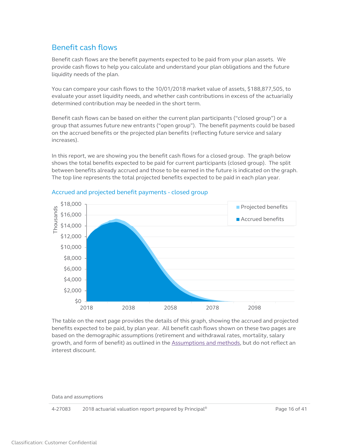## <span id="page-15-1"></span><span id="page-15-0"></span>Benefit cash flows

Benefit cash flows are the benefit payments expected to be paid from your plan assets. We provide cash flows to help you calculate and understand your plan obligations and the future liquidity needs of the plan.

You can compare your cash flows to the 10/01/2018 market value of assets, \$188,877,505, to evaluate your asset liquidity needs, and whether cash contributions in excess of the actuarially determined contribution may be needed in the short term.

Benefit cash flows can be based on either the current plan participants ("closed group") or a group that assumes future new entrants ("open group"). The benefit payments could be based on the accrued benefits or the projected plan benefits (reflecting future service and salary increases).

In this report, we are showing you the benefit cash flows for a closed group. The graph below shows the total benefits expected to be paid for current participants (closed group). The split between benefits already accrued and those to be earned in the future is indicated on the graph. The top line represents the total projected benefits expected to be paid in each plan year.



### Accrued and projected benefit payments - closed group

The table on the next page provides the details of this graph, showing the accrued and projected benefits expected to be paid, by plan year. All benefit cash flows shown on these two pages are based on the demographic assumptions (retirement and withdrawal rates, mortality, salary growth, and form of benefit) as outlined in the [Assumptions and methods,](#page-22-2) but do not reflect an interest discount.

Data and assumptions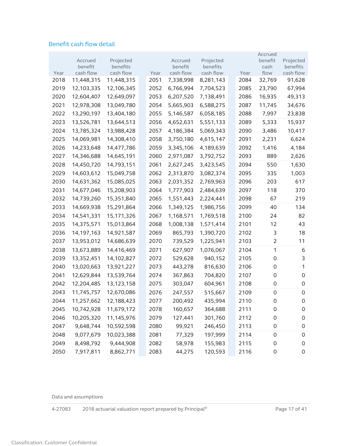### Benefit cash flow detail

|      |                      |                       |      |                      |                       |      | Accrued             |                       |
|------|----------------------|-----------------------|------|----------------------|-----------------------|------|---------------------|-----------------------|
|      | Accrued              | Projected             |      | Accrued              | Projected             |      | benefit             | Projected             |
| Year | benefit<br>cash flow | benefits<br>cash flow | Year | benefit<br>cash flow | benefits<br>cash flow | Year | cash<br>flow        | benefits<br>cash flow |
| 2018 | 11,448,315           | 11,448,315            | 2051 | 7,338,998            | 8,281,143             | 2084 | 32,769              | 91,628                |
| 2019 | 12,103,335           | 12,106,345            | 2052 | 6,766,994            | 7,704,523             | 2085 | 23,790              | 67,994                |
| 2020 | 12,604,407           | 12,649,097            | 2053 | 6,207,520            | 7,138,491             | 2086 | 16,935              | 49,313                |
| 2021 | 12,978,308           | 13,049,780            | 2054 | 5,665,903            | 6,588,275             | 2087 | 11,745              | 34,676                |
| 2022 | 13,290,197           | 13,404,180            | 2055 | 5,146,587            | 6,058,185             | 2088 | 7,997               | 23,838                |
| 2023 | 13,526,781           | 13,644,513            | 2056 | 4,652,631            | 5,551,133             | 2089 | 5,333               | 15,937                |
| 2024 | 13,785,324           | 13,988,428            | 2057 | 4,186,384            | 5,069,343             | 2090 | 3,486               | 10,417                |
| 2025 | 14,069,981           | 14,308,410            | 2058 | 3,750,180            | 4,615,147             | 2091 | 2,231               | 6,624                 |
| 2026 | 14,233,648           | 14,477,786            | 2059 | 3,345,106            | 4,189,639             | 2092 | 1,416               | 4,184                 |
| 2027 | 14,346,688           | 14,645,191            | 2060 | 2,971,087            | 3,792,752             | 2093 | 889                 | 2,626                 |
| 2028 | 14,450,720           | 14,793,151            | 2061 | 2,627,245            | 3,423,545             | 2094 | 550                 | 1,630                 |
| 2029 | 14,603,612           | 15,049,758            | 2062 | 2,313,870            | 3,082,374             | 2095 | 335                 | 1,003                 |
| 2030 | 14,631,362           | 15,085,025            | 2063 | 2,031,352            | 2,769,963             | 2096 | 203                 | 617                   |
| 2031 | 14,677,046           | 15,208,903            | 2064 | 1,777,903            | 2,484,639             | 2097 | 118                 | 370                   |
| 2032 | 14,739,260           | 15,351,840            | 2065 | 1,551,443            | 2,224,441             | 2098 | 67                  | 219                   |
| 2033 | 14,669,938           | 15,291,864            | 2066 | 1,349,125            | 1,986,756             | 2099 | 40                  | 134                   |
| 2034 | 14,541,331           | 15,171,326            | 2067 | 1,168,571            | 1,769,518             | 2100 | 24                  | 82                    |
| 2035 | 14,375,571           | 15,013,864            | 2068 | 1,008,138            | 1,571,414             | 2101 | 12                  | 43                    |
| 2036 | 14, 197, 163         | 14,921,587            | 2069 | 865,793              | 1,390,720             | 2102 | 3                   | 18                    |
| 2037 | 13,953,012           | 14,686,639            | 2070 | 739,529              | 1,225,941             | 2103 | $\overline{2}$      | 11                    |
| 2038 | 13,673,889           | 14,416,469            | 2071 | 627,907              | 1,076,067             | 2104 | 1                   | 6                     |
| 2039 | 13,352,451           | 14,102,827            | 2072 | 529,628              | 940,152               | 2105 | 0                   | 3                     |
| 2040 | 13,020,663           | 13,921,227            | 2073 | 443,278              | 816,630               | 2106 | 0                   | 1                     |
| 2041 | 12,629,844           | 13,539,764            | 2074 | 367,863              | 704,820               | 2107 | 0                   | $\mathsf{O}\xspace$   |
| 2042 | 12,204,485           | 13,123,158            | 2075 | 303,047              | 604,961               | 2108 | 0                   | $\mathbf 0$           |
| 2043 | 11,745,757           | 12,670,086            | 2076 | 247,557              | 515,667               | 2109 | $\mathbf 0$         | $\mathsf{O}\xspace$   |
| 2044 | 11,257,662           | 12,188,423            | 2077 | 200,492              | 435,994               | 2110 | 0                   | 0                     |
| 2045 | 10,742,928           | 11,679,172            | 2078 | 160,657              | 364,688               | 2111 | $\mathbf 0$         | 0                     |
| 2046 | 10,205,320           | 11,145,976            | 2079 | 127,441              | 301,760               | 2112 | 0                   | $\mathsf{O}\xspace$   |
| 2047 | 9,648,744            | 10,592,598            | 2080 | 99,921               | 246,450               | 2113 | $\mathsf O$         | $\mathsf{O}\xspace$   |
| 2048 | 9,077,679            | 10,023,388            | 2081 | 77,329               | 197,999               | 2114 | $\mathsf{O}\xspace$ | $\mathsf{O}\xspace$   |
| 2049 | 8,498,792            | 9,444,908             | 2082 | 58,978               | 155,983               | 2115 | $\mathbf 0$         | $\mathsf{O}\xspace$   |
| 2050 | 7,917,811            | 8,862,771             | 2083 | 44,275               | 120,593               | 2116 | $\mathsf{O}\xspace$ | $\mathsf{O}\xspace$   |

Data and assumptions

4-27083 2018 actuarial valuation report prepared by Principal<sup>®</sup> Page 17 of 41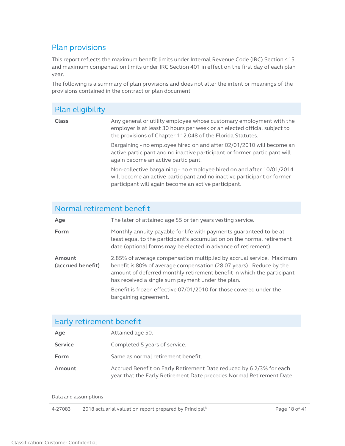## <span id="page-17-1"></span><span id="page-17-0"></span>Plan provisions

This report reflects the maximum benefit limits under Internal Revenue Code (IRC) Section 415 and maximum compensation limits under IRC Section 401 in effect on the first day of each plan year.

The following is a summary of plan provisions and does not alter the intent or meanings of the provisions contained in the contract or plan document

## Plan eligibility

**Class** Any general or utility employee whose customary employment with the employer is at least 30 hours per week or an elected official subject to the provisions of Chapter 112.048 of the Florida Statutes.

> Bargaining - no employee hired on and after 02/01/2010 will become an active participant and no inactive participant or former participant will again become an active participant.

> Non-collective bargaining - no employee hired on and after 10/01/2014 will become an active participant and no inactive participant or former participant will again become an active participant.

## Normal retirement benefit

| Age                         | The later of attained age 55 or ten years vesting service.                                                                                                                                                                                                                 |
|-----------------------------|----------------------------------------------------------------------------------------------------------------------------------------------------------------------------------------------------------------------------------------------------------------------------|
| Form                        | Monthly annuity payable for life with payments quaranteed to be at<br>least equal to the participant's accumulation on the normal retirement<br>date (optional forms may be elected in advance of retirement).                                                             |
| Amount<br>(accrued benefit) | 2.85% of average compensation multiplied by accrual service. Maximum<br>benefit is 80% of average compensation (28.07 years). Reduce by the<br>amount of deferred monthly retirement benefit in which the participant<br>has received a single sum payment under the plan. |
|                             | Benefit is frozen effective 07/01/2010 for those covered under the<br>bargaining agreement.                                                                                                                                                                                |

### Early retirement benefit

| Age            | Attained age 50.                                                                                                                            |
|----------------|---------------------------------------------------------------------------------------------------------------------------------------------|
| <b>Service</b> | Completed 5 years of service.                                                                                                               |
| Form           | Same as normal retirement benefit.                                                                                                          |
| Amount         | Accrued Benefit on Early Retirement Date reduced by 6 2/3% for each<br>year that the Early Retirement Date precedes Normal Retirement Date. |

Data and assumptions

4-27083 2018 actuarial valuation report prepared by Principal<sup>®</sup> Page 18 of 41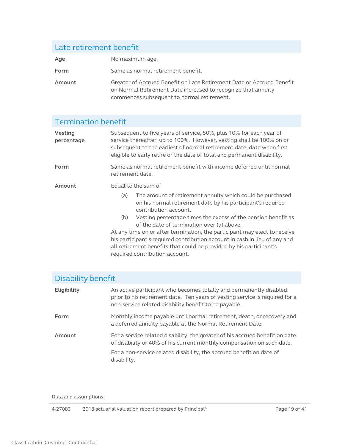# Late retirement benefit Age No maximum age. **Form** Same as normal retirement benefit. **Amount** Greater of Accrued Benefit on Late Retirement Date or Accrued Benefit on Normal Retirement Date increased to recognize that annuity commences subsequent to normal retirement.

### Termination benefit **Vesting percentage** Subsequent to five years of service, 50%, plus 10% for each year of service thereafter, up to 100%. However, vesting shall be 100% on or subsequent to the earliest of normal retirement date, date when first eligible to early retire or the date of total and permanent disability. **Form** Same as normal retirement benefit with income deferred until normal retirement date. **Amount** Equal to the sum of (a) The amount of retirement annuity which could be purchased on his normal retirement date by his participant's required contribution account. (b) Vesting percentage times the excess of the pension benefit as of the date of termination over (a) above. At any time on or after termination, the participant may elect to receive his participant's required contribution account in cash in lieu of any and all retirement benefits that could be provided by his participant's required contribution account.

| Disability benefit |                                                                                                                                                                                                             |
|--------------------|-------------------------------------------------------------------------------------------------------------------------------------------------------------------------------------------------------------|
| <b>Eligibility</b> | An active participant who becomes totally and permanently disabled<br>prior to his retirement date. Ten years of vesting service is required for a<br>non-service related disability benefit to be payable. |
| Form               | Monthly income payable until normal retirement, death, or recovery and<br>a deferred annuity payable at the Normal Retirement Date.                                                                         |
| Amount             | For a service related disability, the greater of his accrued benefit on date<br>of disability or 40% of his current monthly compensation on such date.                                                      |
|                    | For a non-service related disability, the accrued benefit on date of<br>disability.                                                                                                                         |

Data and assumptions

4-27083 2018 actuarial valuation report prepared by Principal<sup>®</sup> Page 19 of 41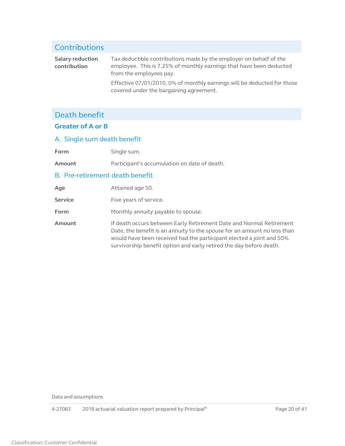#### Contributions **Salary reduction contribution** Tax deductible contributions made by the employer on behalf of the employee. This is 7.25% of monthly earnings that have been deducted from the employees pay. Effective 07/01/2010, 0% of monthly earnings will be deducted for those covered under the bargaining agreement.

# Death benefit

### **Greater of A or B**

### A. Single sum death benefit

Form Single sum.

**Amount** Participant's accumulation on date of death.

### B. Pre-retirement death benefit

| Age            | Attained age 50.                                                                                                                                                                                                                                                                               |
|----------------|------------------------------------------------------------------------------------------------------------------------------------------------------------------------------------------------------------------------------------------------------------------------------------------------|
| <b>Service</b> | Five years of service.                                                                                                                                                                                                                                                                         |
| Form           | Monthly annuity payable to spouse.                                                                                                                                                                                                                                                             |
| Amount         | If death occurs between Early Retirement Date and Normal Retirement<br>Date, the benefit is an annuity to the spouse for an amount no less than<br>would have been received had the participant elected a joint and 50%<br>survivorship benefit option and early retired the day before death. |

Data and assumptions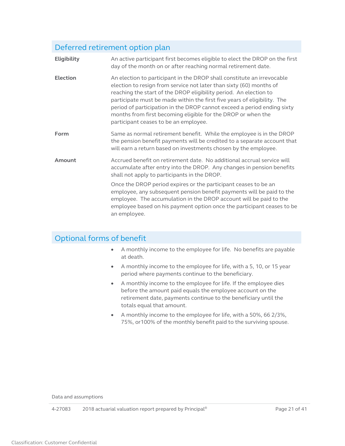# Deferred retirement option plan

| <b>Eligibility</b> | An active participant first becomes eligible to elect the DROP on the first<br>day of the month on or after reaching normal retirement date.                                                                                                                                                                                                                                                                                                                                       |
|--------------------|------------------------------------------------------------------------------------------------------------------------------------------------------------------------------------------------------------------------------------------------------------------------------------------------------------------------------------------------------------------------------------------------------------------------------------------------------------------------------------|
| <b>Election</b>    | An election to participant in the DROP shall constitute an irrevocable<br>election to resign from service not later than sixty (60) months of<br>reaching the start of the DROP eligibility period. An election to<br>participate must be made within the first five years of eligibility. The<br>period of participation in the DROP cannot exceed a period ending sixty<br>months from first becoming eligible for the DROP or when the<br>participant ceases to be an employee. |
| Form               | Same as normal retirement benefit. While the employee is in the DROP<br>the pension benefit payments will be credited to a separate account that<br>will earn a return based on investments chosen by the employee.                                                                                                                                                                                                                                                                |
| Amount             | Accrued benefit on retirement date. No additional accrual service will<br>accumulate after entry into the DROP. Any changes in pension benefits<br>shall not apply to participants in the DROP.                                                                                                                                                                                                                                                                                    |
|                    | Once the DROP period expires or the participant ceases to be an<br>employee, any subsequent pension benefit payments will be paid to the<br>employee. The accumulation in the DROP account will be paid to the<br>employee based on his payment option once the participant ceases to be<br>an employee.                                                                                                                                                                           |

# Optional forms of benefit

- A monthly income to the employee for life. No benefits are payable at death.
- A monthly income to the employee for life, with a 5, 10, or 15 year period where payments continue to the beneficiary.
- A monthly income to the employee for life. If the employee dies before the amount paid equals the employee account on the retirement date, payments continue to the beneficiary until the totals equal that amount.
- A monthly income to the employee for life, with a 50%, 66 2/3%, 75%, or100% of the monthly benefit paid to the surviving spouse.

Data and assumptions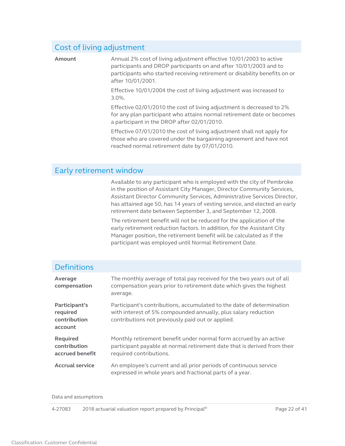## Cost of living adjustment

**Amount** Annual 2% cost of living adjustment effective 10/01/2003 to active participants and DROP participants on and after 10/01/2003 and to participants who started receiving retirement or disability benefits on or after 10/01/2001.

> Effective 10/01/2004 the cost of living adjustment was increased to 3.0%.

Effective 02/01/2010 the cost of living adjustment is decreased to 2% for any plan participant who attains normal retirement date or becomes a participant in the DROP after 02/01/2010.

Effective 07/01/2010 the cost of living adjustment shall not apply for those who are covered under the bargaining agreement and have not reached normal retirement date by 07/01/2010.

### Early retirement window

Available to any participant who is employed with the city of Pembroke in the position of Assistant City Manager, Director Community Services, Assistant Director Community Services, Administrative Services Director, has attained age 50, has 14 years of vesting service, and elected an early retirement date between September 3, and September 12, 2008.

The retirement benefit will not be reduced for the application of the early retirement reduction factors. In addition, for the Assistant City Manager position, the retirement benefit will be calculated as if the participant was employed until Normal Retirement Date.

## **Definitions**

| Average<br>compensation                              | The monthly average of total pay received for the two years out of all<br>compensation years prior to retirement date which gives the highest<br>average.                                    |
|------------------------------------------------------|----------------------------------------------------------------------------------------------------------------------------------------------------------------------------------------------|
| Participant's<br>required<br>contribution<br>account | Participant's contributions, accumulated to the date of determination<br>with interest of 5% compounded annually, plus salary reduction<br>contributions not previously paid out or applied. |
| <b>Required</b><br>contribution<br>accrued benefit   | Monthly retirement benefit under normal form accrued by an active<br>participant payable at normal retirement date that is derived from their<br>required contributions.                     |
| <b>Accrual service</b>                               | An employee's current and all prior periods of continuous service<br>expressed in whole years and fractional parts of a year.                                                                |

Data and assumptions

4-27083 2018 actuarial valuation report prepared by Principal® Page 22 of 41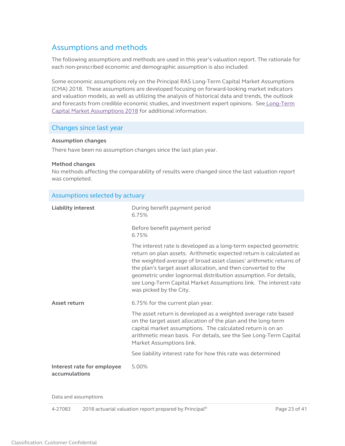## <span id="page-22-2"></span><span id="page-22-0"></span>Assumptions and methods

The following assumptions and methods are used in this year's valuation report. The rationale for each non-prescribed economic and demographic assumption is also included.

Some economic assumptions rely on the Principal RAS Long-Term Capital Market Assumptions (CMA) 2018. These assumptions are developed focusing on forward-looking market indicators and valuation models, as well as utilizing the analysis of historical data and trends, the outlook and forecasts from credible economic studies, and investment expert opinions. See Long-Term [Capital Market Assumptions 2018](https://secure02.principal.com/publicvsupply/GetFile?fm=PQ12179F18-0&ty=VOP&EXT=.VOP) for additional information.

#### Changes since last year

#### **Assumption changes**

There have been no assumption changes since the last plan year.

#### **Method changes**

No methods affecting the comparability of results were changed since the last valuation report was completed.

<span id="page-22-1"></span>

| Assumptions selected by actuary             |                                                                                                                                                                                                                                                                                                                                                                                                                                                 |
|---------------------------------------------|-------------------------------------------------------------------------------------------------------------------------------------------------------------------------------------------------------------------------------------------------------------------------------------------------------------------------------------------------------------------------------------------------------------------------------------------------|
| <b>Liability interest</b>                   | During benefit payment period<br>6.75%                                                                                                                                                                                                                                                                                                                                                                                                          |
|                                             | Before benefit payment period<br>6.75%                                                                                                                                                                                                                                                                                                                                                                                                          |
|                                             | The interest rate is developed as a long-term expected geometric<br>return on plan assets. Arithmetic expected return is calculated as<br>the weighted average of broad asset classes' arithmetic returns of<br>the plan's target asset allocation, and then converted to the<br>geometric under lognormal distribution assumption. For details,<br>see Long-Term Capital Market Assumptions link. The interest rate<br>was picked by the City. |
| Asset return                                | 6.75% for the current plan year.                                                                                                                                                                                                                                                                                                                                                                                                                |
|                                             | The asset return is developed as a weighted average rate based<br>on the target asset allocation of the plan and the long-term<br>capital market assumptions. The calculated return is on an<br>arithmetic mean basis. For details, see the See Long-Term Capital<br>Market Assumptions link.                                                                                                                                                   |
|                                             | See liability interest rate for how this rate was determined                                                                                                                                                                                                                                                                                                                                                                                    |
| Interest rate for employee<br>accumulations | 5.00%                                                                                                                                                                                                                                                                                                                                                                                                                                           |

Data and assumptions

4-27083 2018 actuarial valuation report prepared by Principal<sup>®</sup> Page 23 of 41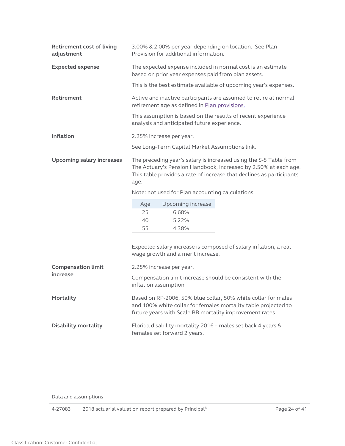<span id="page-23-0"></span>

| <b>Retirement cost of living</b><br>adjustment | 3.00% & 2.00% per year depending on location. See Plan<br>Provision for additional information.                                                                                                                      |  |  |
|------------------------------------------------|----------------------------------------------------------------------------------------------------------------------------------------------------------------------------------------------------------------------|--|--|
| <b>Expected expense</b>                        | The expected expense included in normal cost is an estimate<br>based on prior year expenses paid from plan assets.                                                                                                   |  |  |
|                                                | This is the best estimate available of upcoming year's expenses.                                                                                                                                                     |  |  |
| <b>Retirement</b>                              | Active and inactive participants are assumed to retire at normal<br>retirement age as defined in Plan provisions.                                                                                                    |  |  |
|                                                | This assumption is based on the results of recent experience<br>analysis and anticipated future experience.                                                                                                          |  |  |
| <b>Inflation</b>                               | 2.25% increase per year.                                                                                                                                                                                             |  |  |
|                                                | See Long-Term Capital Market Assumptions link.                                                                                                                                                                       |  |  |
| <b>Upcoming salary increases</b>               | The preceding year's salary is increased using the S-5 Table from<br>The Actuary's Pension Handbook, increased by 2.50% at each age.<br>This table provides a rate of increase that declines as participants<br>age. |  |  |
|                                                | Note: not used for Plan accounting calculations.                                                                                                                                                                     |  |  |
|                                                | Upcoming increase<br>Age                                                                                                                                                                                             |  |  |
|                                                | 25<br>6.68%<br>5.22%<br>40                                                                                                                                                                                           |  |  |
|                                                | 55<br>4.38%                                                                                                                                                                                                          |  |  |
|                                                | Expected salary increase is composed of salary inflation, a real<br>wage growth and a merit increase.                                                                                                                |  |  |
| <b>Compensation limit</b>                      | 2.25% increase per year.                                                                                                                                                                                             |  |  |
| increase                                       | Compensation limit increase should be consistent with the<br>inflation assumption.                                                                                                                                   |  |  |
| Mortality                                      | Based on RP-2006, 50% blue collar, 50% white collar for males<br>and 100% white collar for females mortality table projected to<br>future years with Scale BB mortality improvement rates.                           |  |  |
| <b>Disability mortality</b>                    | Florida disability mortality 2016 - males set back 4 years &<br>females set forward 2 years.                                                                                                                         |  |  |

Data and assumptions

4-27083 2018 actuarial valuation report prepared by Principal<sup>®</sup> Page 24 of 41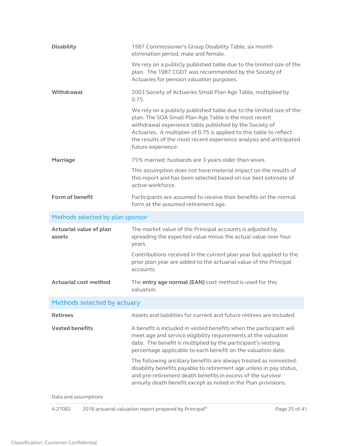<span id="page-24-0"></span>

| <b>Disability</b>                 | 1987 Commissioner's Group Disability Table, six month<br>elimination period, male and female.                                                                                                                                                                                                                                                               |
|-----------------------------------|-------------------------------------------------------------------------------------------------------------------------------------------------------------------------------------------------------------------------------------------------------------------------------------------------------------------------------------------------------------|
|                                   | We rely on a publicly published table due to the limited size of the<br>plan. The 1987 CGDT was recommended by the Society of<br>Actuaries for pension valuation purposes.                                                                                                                                                                                  |
| Withdrawal                        | 2003 Society of Actuaries Small Plan Age Table, multiplied by<br>0.75.                                                                                                                                                                                                                                                                                      |
|                                   | We rely on a publicly published table due to the limited size of the<br>plan. The SOA Small Plan Age Table is the most recent<br>withdrawal experience table published by the Society of<br>Actuaries. A multiplier of 0.75 is applied to this table to reflect<br>the results of the most recent experience analysis and anticipated<br>future experience. |
| <b>Marriage</b>                   | 75% married; husbands are 3 years older than wives.                                                                                                                                                                                                                                                                                                         |
|                                   | This assumption does not have material impact on the results of<br>this report and has been selected based on our best estimate of<br>active workforce.                                                                                                                                                                                                     |
| Form of benefit                   | Participants are assumed to receive their benefits on the normal<br>form at the assumed retirement age.                                                                                                                                                                                                                                                     |
| Methods selected by plan sponsor  |                                                                                                                                                                                                                                                                                                                                                             |
| Actuarial value of plan<br>assets | The market value of the Principal accounts is adjusted by<br>spreading the expected value minus the actual value over four<br>years.                                                                                                                                                                                                                        |
|                                   | Contributions received in the current plan year but applied to the<br>prior plan year are added to the actuarial value of the Principal<br>accounts.                                                                                                                                                                                                        |
| <b>Actuarial cost method</b>      | The entry age normal (EAN) cost method is used for this<br>valuation.                                                                                                                                                                                                                                                                                       |
| Methods selected by actuary       |                                                                                                                                                                                                                                                                                                                                                             |
| <b>Retirees</b>                   | Assets and liabilities for current and future retirees are included.                                                                                                                                                                                                                                                                                        |
| <b>Vested benefits</b>            | A benefit is included in vested benefits when the participant will<br>meet age and service eligibility requirements at the valuation<br>date. The benefit is multiplied by the participant's vesting<br>percentage applicable to each benefit on the valuation date.                                                                                        |
|                                   | The following ancillary benefits are always treated as nonvested:<br>disability benefits payable to retirement age unless in pay status,<br>and pre-retirement death benefits in excess of the survivor                                                                                                                                                     |
|                                   | annuity death benefit except as noted in the Plan provisions.                                                                                                                                                                                                                                                                                               |

4-27083 2018 actuarial valuation report prepared by Principal<sup>®</sup> Page 25 of 41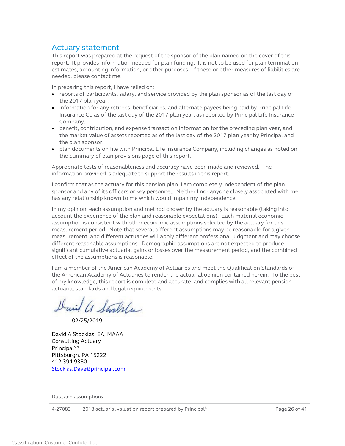## <span id="page-25-0"></span>Actuary statement

This report was prepared at the request of the sponsor of the plan named on the cover of this report. It provides information needed for plan funding. It is not to be used for plan termination estimates, accounting information, or other purposes. If these or other measures of liabilities are needed, please contact me.

In preparing this report, I have relied on:

- reports of participants, salary, and service provided by the plan sponsor as of the last day of the 2017 plan year.
- information for any retirees, beneficiaries, and alternate payees being paid by Principal Life Insurance Co as of the last day of the 2017 plan year, as reported by Principal Life Insurance Company.
- benefit, contribution, and expense transaction information for the preceding plan year, and the market value of assets reported as of the last day of the 2017 plan year by Principal and the plan sponsor.
- plan documents on file with Principal Life Insurance Company, including changes as noted on the Summary of plan provisions page of this report.

Appropriate tests of reasonableness and accuracy have been made and reviewed. The information provided is adequate to support the results in this report.

I confirm that as the actuary for this pension plan. I am completely independent of the plan sponsor and any of its officers or key personnel. Neither I nor anyone closely associated with me has any relationship known to me which would impair my independence.

In my opinion, each assumption and method chosen by the actuary is reasonable (taking into account the experience of the plan and reasonable expectations). Each material economic assumption is consistent with other economic assumptions selected by the actuary for this measurement period. Note that several different assumptions may be reasonable for a given measurement, and different actuaries will apply different professional judgment and may choose different reasonable assumptions. Demographic assumptions are not expected to produce significant cumulative actuarial gains or losses over the measurement period, and the combined effect of the assumptions is reasonable.

I am a member of the American Academy of Actuaries and meet the Qualification Standards of the American Academy of Actuaries to render the actuarial opinion contained herein. To the best of my knowledge, this report is complete and accurate, and complies with all relevant pension actuarial standards and legal requirements.

David a Stralla

02/25/2019

David A Stocklas, EA, MAAA Consulting Actuary **Principal**SM Pittsburgh, PA 15222 412.394.9380 [Stocklas.Dave@principal.com](mailto:Stocklas.Dave@principal.com)

Data and assumptions

4-27083 2018 actuarial valuation report prepared by Principal<sup>®</sup> Page 26 of 41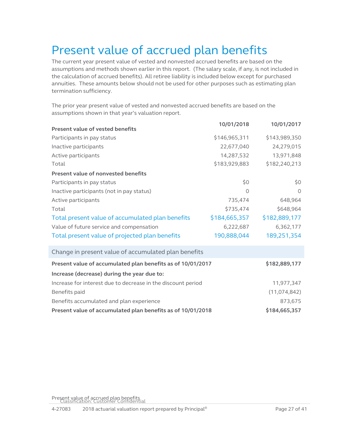# <span id="page-26-1"></span><span id="page-26-0"></span>Present value of accrued plan benefits

The current year present value of vested and nonvested accrued benefits are based on the assumptions and methods shown earlier in this report. (The salary scale, if any, is not included in the calculation of accrued benefits). All retiree liability is included below except for purchased annuities. These amounts below should not be used for other purposes such as estimating plan termination sufficiency.

The prior year present value of vested and nonvested accrued benefits are based on the assumptions shown in that year's valuation report.

|                                                              | 10/01/2018    | 10/01/2017     |
|--------------------------------------------------------------|---------------|----------------|
| <b>Present value of vested benefits</b>                      |               |                |
| Participants in pay status                                   | \$146,965,311 | \$143,989,350  |
| Inactive participants                                        | 22,677,040    | 24,279,015     |
| Active participants                                          | 14,287,532    | 13,971,848     |
| Total                                                        | \$183,929,883 | \$182,240,213  |
| Present value of nonvested benefits                          |               |                |
| Participants in pay status                                   | \$0           | \$0            |
| Inactive participants (not in pay status)                    | $\circ$       | $\Omega$       |
| Active participants                                          | 735,474       | 648,964        |
| Total                                                        | \$735,474     | \$648,964      |
| Total present value of accumulated plan benefits             | \$184,665,357 | \$182,889,177  |
| Value of future service and compensation                     | 6,222,687     | 6,362,177      |
| Total present value of projected plan benefits               | 190,888,044   | 189,251,354    |
| Change in present value of accumulated plan benefits         |               |                |
| Present value of accumulated plan benefits as of 10/01/2017  |               | \$182,889,177  |
| Increase (decrease) during the year due to:                  |               |                |
| Increase for interest due to decrease in the discount period |               | 11,977,347     |
| Benefits paid                                                |               | (11, 074, 842) |
| Benefits accumulated and plan experience                     |               | 873,675        |
| Present value of accumulated plan benefits as of 10/01/2018  |               | \$184,665,357  |

<span id="page-26-2"></span>Present value of accrued plan benefits Classification: Customer Confidential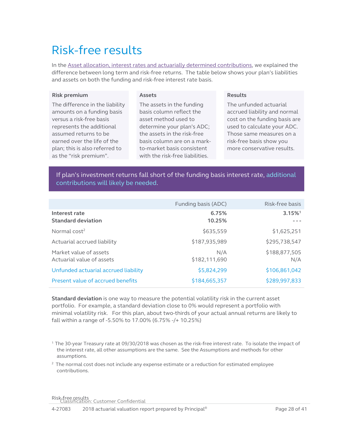# <span id="page-27-1"></span>Risk-free results

In the **Asset allocation, interest rates and actuarially determined contributions**, we explained the difference between long term and risk-free returns. The table below shows your plan's liabilities and assets on both the funding and risk-free interest rate basis.

#### **Risk premium**

#### <span id="page-27-0"></span>**Assets**

The difference in the liability amounts on a funding basis versus a risk-free basis represents the additional assumed returns to be earned over the life of the plan; this is also referred to as the "risk premium".

The assets in the funding basis column reflect the asset method used to determine your plan's ADC; the assets in the risk-free basis column are on a markto-market basis consistent with the risk-free liabilities.

#### **Results**

The unfunded actuarial accrued liability and normal cost on the funding basis are used to calculate your ADC. Those same measures on a risk-free basis show you more conservative results.

If plan's investment returns fall short of the funding basis interest rate, additional contributions will likely be needed.

|                                                     | Funding basis (ADC)  | Risk-free basis       |
|-----------------------------------------------------|----------------------|-----------------------|
| Interest rate<br><b>Standard deviation</b>          | 6.75%<br>10.25%      | $3.15\%$ <sup>1</sup> |
| Normal $cost2$                                      | \$635,559            | \$1,625,251           |
| Actuarial accrued liability                         | \$187,935,989        | \$295,738,547         |
| Market value of assets<br>Actuarial value of assets | N/A<br>\$182,111,690 | \$188,877,505<br>N/A  |
| Unfunded actuarial accrued liability                | \$5,824,299          | \$106,861,042         |
| Present value of accrued benefits                   | \$184,665,357        | \$289,997,833         |

**Standard deviation** is one way to measure the potential volatility risk in the current asset portfolio. For example, a standard deviation close to 0% would represent a portfolio with minimal volatility risk. For this plan, about two-thirds of your actual annual returns are likely to fall within a range of -5.50% to 17.00% (6.75% -/+ 10.25%)

1 The 30-year Treasury rate at 09/30/2018 was chosen as the risk-free interest rate. To isolate the impact of the interest rate, all other assumptions are the same. See the Assumptions and methods for other assumptions.

 $2$  The normal cost does not include any expense estimate or a reduction for estimated employee contributions.

Risk-free results Classification: Customer Confidential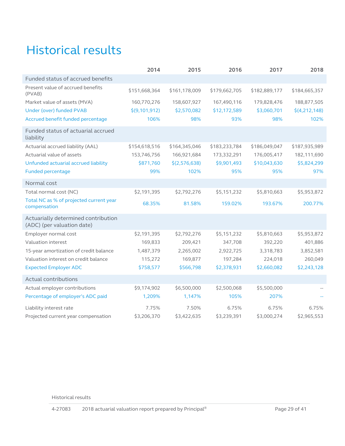# <span id="page-28-0"></span>Historical results

|                                                                   | 2014          | 2015          | 2016          | 2017          | 2018          |
|-------------------------------------------------------------------|---------------|---------------|---------------|---------------|---------------|
| Funded status of accrued benefits                                 |               |               |               |               |               |
| Present value of accrued benefits<br>(PVAB)                       | \$151,668,364 | \$161,178,009 | \$179,662,705 | \$182,889,177 | \$184,665,357 |
| Market value of assets (MVA)                                      | 160,770,276   | 158,607,927   | 167,490,116   | 179,828,476   | 188,877,505   |
| Under (over) funded PVAB                                          | \$(9,101,912) | \$2,570,082   | \$12,172,589  | \$3,060,701   | \$(4,212,148) |
| Accrued benefit funded percentage                                 | 106%          | 98%           | 93%           | 98%           | 102%          |
| Funded status of actuarial accrued<br>liability                   |               |               |               |               |               |
| Actuarial accrued liability (AAL)                                 | \$154,618,516 | \$164,345,046 | \$183,233,784 | \$186,049,047 | \$187,935,989 |
| Actuarial value of assets                                         | 153,746,756   | 166,921,684   | 173,332,291   | 176,005,417   | 182,111,690   |
| Unfunded actuarial accrued liability                              | \$871,760     | \$(2,576,638) | \$9,901,493   | \$10,043,630  | \$5,824,299   |
| <b>Funded percentage</b>                                          | 99%           | 102%          | 95%           | 95%           | 97%           |
| Normal cost                                                       |               |               |               |               |               |
| Total normal cost (NC)                                            | \$2,191,395   | \$2,792,276   | \$5,151,232   | \$5,810,663   | \$5,953,872   |
| Total NC as % of projected current year<br>compensation           | 68.35%        | 81.58%        | 159.02%       | 193.67%       | 200.77%       |
| Actuarially determined contribution<br>(ADC) (per valuation date) |               |               |               |               |               |
| Employer normal cost                                              | \$2,191,395   | \$2,792,276   | \$5,151,232   | \$5,810,663   | \$5,953,872   |
| Valuation interest                                                | 169,833       | 209,421       | 347,708       | 392,220       | 401,886       |
| 15-year amortization of credit balance                            | 1,487,379     | 2,265,002     | 2,922,725     | 3,318,783     | 3,852,581     |
| Valuation interest on credit balance                              | 115,272       | 169,877       | 197,284       | 224,018       | 260,049       |
| <b>Expected Employer ADC</b>                                      | \$758,577     | \$566,798     | \$2,378,931   | \$2,660,082   | \$2,243,128   |
| Actual contributions                                              |               |               |               |               |               |
| Actual employer contributions                                     | \$9,174,902   | \$6,500,000   | \$2,500,068   | \$5,500,000   |               |
| Percentage of employer's ADC paid                                 | 1,209%        | 1,147%        | 105%          | 207%          |               |
| Liability interest rate                                           | 7.75%         | 7.50%         | 6.75%         | 6.75%         | 6.75%         |
| Projected current year compensation                               | \$3,206,370   | \$3,422,635   | \$3,239,391   | \$3,000,274   | \$2,965,553   |

Historical results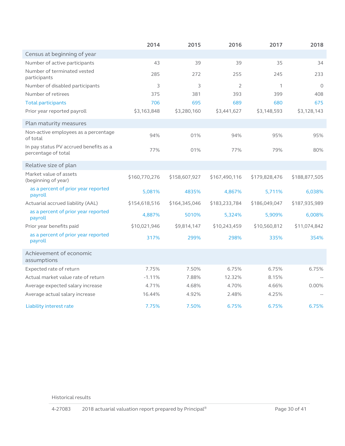|                                                               | 2014          | 2015          | 2016          | 2017          | 2018          |
|---------------------------------------------------------------|---------------|---------------|---------------|---------------|---------------|
| Census at beginning of year                                   |               |               |               |               |               |
| Number of active participants                                 | 43            | 39            | 39            | 35            | 34            |
| Number of terminated vested<br>participants                   | 285           | 272           | 255           | 245           | 233           |
| Number of disabled participants                               | 3             | 3             | 2             | 1             | $\Omega$      |
| Number of retirees                                            | 375           | 381           | 393           | 399           | 408           |
| <b>Total participants</b>                                     | 706           | 695           | 689           | 680           | 675           |
| Prior year reported payroll                                   | \$3,163,848   | \$3,280,160   | \$3,441,627   | \$3,148,593   | \$3,128,143   |
| Plan maturity measures                                        |               |               |               |               |               |
| Non-active employees as a percentage<br>of total              | 94%           | 01%           | 94%           | 95%           | 95%           |
| In pay status PV accrued benefits as a<br>percentage of total | 77%           | 01%           | 77%           | 79%           | 80%           |
| Relative size of plan                                         |               |               |               |               |               |
| Market value of assets<br>(beginning of year)                 | \$160,770,276 | \$158,607,927 | \$167,490,116 | \$179,828,476 | \$188,877,505 |
| as a percent of prior year reported<br>payroll                | 5,081%        | 4835%         | 4,867%        | 5,711%        | 6,038%        |
| Actuarial accrued liability (AAL)                             | \$154,618,516 | \$164,345,046 | \$183,233,784 | \$186,049,047 | \$187,935,989 |
| as a percent of prior year reported<br>payroll                | 4,887%        | 5010%         | 5,324%        | 5,909%        | 6,008%        |
| Prior year benefits paid                                      | \$10,021,946  | \$9,814,147   | \$10,243,459  | \$10,560,812  | \$11,074,842  |
| as a percent of prior year reported<br>payroll                | 317%          | 299%          | 298%          | 335%          | 354%          |
| Achievement of economic<br>assumptions                        |               |               |               |               |               |
| Expected rate of return                                       | 7.75%         | 7.50%         | 6.75%         | 6.75%         | 6.75%         |
| Actual market value rate of return                            | $-1.11%$      | 7.88%         | 12.32%        | 8.15%         |               |
| Average expected salary increase                              | 4.71%         | 4.68%         | 4.70%         | 4.66%         | 0.00%         |
| Average actual salary increase                                | 16.44%        | 4.92%         | 2.48%         | 4.25%         |               |
| Liability interest rate                                       | 7.75%         | 7.50%         | 6.75%         | 6.75%         | 6.75%         |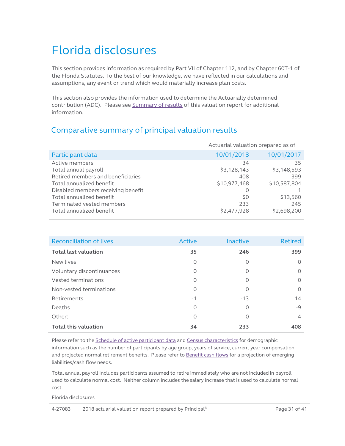# <span id="page-30-0"></span>Florida disclosures

This section provides information as required by Part VII of Chapter 112, and by Chapter 60T-1 of the Florida Statutes. To the best of our knowledge, we have reflected in our calculations and assumptions, any event or trend which would materially increase plan costs.

This section also provides the information used to determine the Actuarially determined contribution (ADC). Please se[e Summary of results](#page-2-0) of this valuation report for additional information.

# Comparative summary of principal valuation results

<span id="page-30-1"></span>

|                                    | Actuarial valuation prepared as of |              |  |
|------------------------------------|------------------------------------|--------------|--|
| Participant data                   | 10/01/2018                         | 10/01/2017   |  |
| Active members                     | 34                                 | 35           |  |
| Total annual payroll               | \$3,128,143                        | \$3,148,593  |  |
| Retired members and beneficiaries  | 408                                | 399          |  |
| Total annualized benefit           | \$10,977,468                       | \$10,587,804 |  |
| Disabled members receiving benefit |                                    |              |  |
| Total annualized benefit           | \$0                                | \$13,560     |  |
| Terminated vested members          | 233                                | 245          |  |
| Total annualized benefit           | \$2,477,928                        | \$2,698,200  |  |

| <b>Reconciliation of lives</b> | Active   | Inactive | <b>Retired</b> |
|--------------------------------|----------|----------|----------------|
| <b>Total last valuation</b>    | 35       | 246      | 399            |
| New lives                      | $\Omega$ | 0        | 0              |
| Voluntary discontinuances      | 0        | 0        | $\circ$        |
| Vested terminations            | $\circ$  | 0        | $\circ$        |
| Non-vested terminations        | $\Omega$ | 0        | $\circ$        |
| Retirements                    | $-1$     | $-13$    | 14             |
| Deaths                         | 0        | 0        | $-9$           |
| Other:                         | $\Omega$ | 0        | $\overline{4}$ |
| <b>Total this valuation</b>    | 34       | 233      | 408            |

Please refer to the *Schedule of active participant data* and *Census characteristics* for demographic information such as the number of participants by age group, years of service, current year compensation, and projected normal retirement benefits. Please refer t[o Benefit cash flows](#page-15-1) for a projection of emerging liabilities/cash flow needs.

Total annual payroll Includes participants assumed to retire immediately who are not included in payroll used to calculate normal cost. Neither column includes the salary increase that is used to calculate normal cost.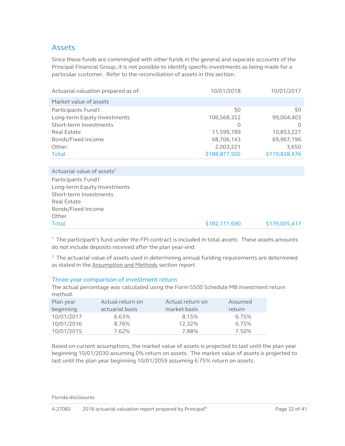## Assets

Since these funds are commingled with other funds in the general and separate accounts of the Principal Financial Group, it is not possible to identify specific investments as being made for a particular customer. Refer to the reconciliation of assets in this section.

| 10/01/2018    | 10/01/2017    |
|---------------|---------------|
|               |               |
| \$0           | \$0           |
| 106,568,352   | 99,004,403    |
| O             | O             |
| 11,599,789    | 10,853,227    |
| 68,706,143    | 69,967,196    |
| 2,003,221     | 3,650         |
| \$188,877,505 | \$179,828,476 |
|               |               |

| Actuarial value of assets <sup>2</sup> |               |               |
|----------------------------------------|---------------|---------------|
| Participants Fund1                     |               |               |
| Long-term Equity Investments           |               |               |
| Short-term Investments                 |               |               |
| Real Estate                            |               |               |
| Bonds/Fixed Income                     |               |               |
| Other                                  |               |               |
| <b>Total</b>                           | \$182,111,690 | \$176,005,417 |

 $1$  The participant's fund under the FPI contract is included in total assets. These assets amounts do not include deposits received after the plan year-end.

 $2$  The actuarial value of assets used in determining annual funding requirements are determined as stated in the **Assumption and Methods** section report.

#### Three-year comparison of investment return

The actual percentage was calculated using the Form 5500 Schedule MB investment return method.

| Plan year  | Actual return on | Actual return on | Assumed |
|------------|------------------|------------------|---------|
| beginning  | actuarial basis  | market basis     | return  |
| 10/01/2017 | 6.63%            | 8.15%            | 6.75%   |
| 10/01/2016 | 8.76%            | 12.32%           | 6.75%   |
| 10/01/2015 | 7.62%            | 7.88%            | 7.50%   |

Based on current assumptions, the market value of assets is projected to last until the plan year beginning 10/01/2030 assuming 0% return on assets. The market value of assets is projected to last until the plan year beginning 10/01/2059 assuming 6.75% return on assets.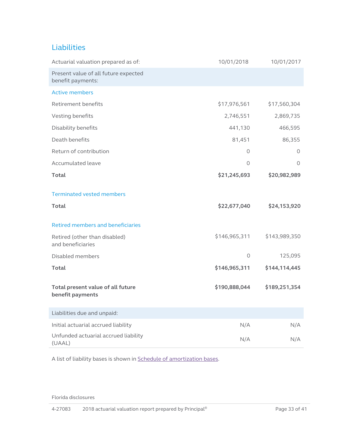## Liabilities

| Actuarial valuation prepared as of:                       | 10/01/2018    | 10/01/2017    |
|-----------------------------------------------------------|---------------|---------------|
| Present value of all future expected<br>benefit payments: |               |               |
| <b>Active members</b>                                     |               |               |
| Retirement benefits                                       | \$17,976,561  | \$17,560,304  |
| Vesting benefits                                          | 2,746,551     | 2,869,735     |
| Disability benefits                                       | 441,130       | 466,595       |
| Death benefits                                            | 81,451        | 86,355        |
| Return of contribution                                    | 0             | 0             |
| Accumulated leave                                         | 0             | $\Omega$      |
| <b>Total</b>                                              | \$21,245,693  | \$20,982,989  |
| <b>Terminated vested members</b>                          |               |               |
| <b>Total</b>                                              | \$22,677,040  | \$24,153,920  |
| <b>Retired members and beneficiaries</b>                  |               |               |
| Retired (other than disabled)<br>and beneficiaries        | \$146,965,311 | \$143,989,350 |
| Disabled members                                          | 0             | 125,095       |
| Total                                                     | \$146,965,311 | \$144,114,445 |
| Total present value of all future<br>benefit payments     | \$190,888,044 | \$189,251,354 |
| Liabilities due and unpaid:                               |               |               |
| Initial actuarial accrued liability                       | N/A           | N/A           |
| Unfunded actuarial accrued liability<br>(UAAL)            | N/A           | N/A           |

A list of liability bases is shown in Schedule of [amortization bases.](#page-11-1)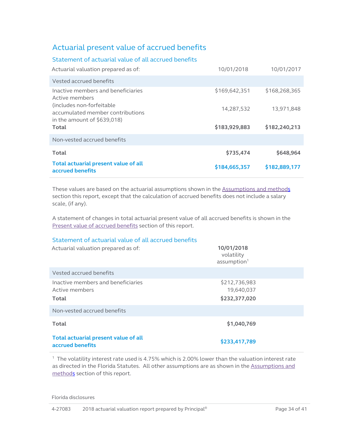# Actuarial present value of accrued benefits

| Statement of actuarial value of all accrued benefits                                            |               |               |
|-------------------------------------------------------------------------------------------------|---------------|---------------|
| Actuarial valuation prepared as of:                                                             | 10/01/2018    | 10/01/2017    |
| Vested accrued benefits                                                                         |               |               |
| Inactive members and beneficiaries<br>Active members                                            | \$169,642,351 | \$168,268,365 |
| (includes non-forfeitable)<br>accumulated member contributions<br>in the amount of $$639,018$ ) | 14,287,532    | 13,971,848    |
| Total                                                                                           | \$183,929,883 | \$182,240,213 |
| Non-vested accrued benefits                                                                     |               |               |
| Total                                                                                           | \$735,474     | \$648,964     |
| Total actuarial present value of all<br>accrued benefits                                        | \$184,665,357 | \$182,889,177 |

These values are based on the actuarial assumptions shown in the **Assumptions and methods** section this report, except that the calculation of accrued benefits does not include a salary scale, (if any).

A statement of changes in total actuarial present value of all accrued benefits is shown in the [Present value of accrued benefits](#page-26-1) section of this report.

### Statement of actuarial value of all accrued benefits

| Actuarial valuation prepared as of:                           | 10/01/2018<br>volatility<br>assumption <sup>1</sup> |  |
|---------------------------------------------------------------|-----------------------------------------------------|--|
| Vested accrued benefits                                       |                                                     |  |
| Inactive members and beneficiaries<br>Active members<br>Total | \$212,736,983<br>19,640,037<br>\$232,377,020        |  |
| Non-vested accrued benefits                                   |                                                     |  |
| <b>Total</b>                                                  | \$1,040,769                                         |  |
| Total actuarial present value of all<br>accrued benefits      | \$233,417,789                                       |  |

1 The volatility interest rate used is 4.75% which is 2.00% lower than the valuation interest rate as directed in the Florida Statutes. All other assumptions are as shown in the Assumptions and [methods](#page-22-2) section of this report.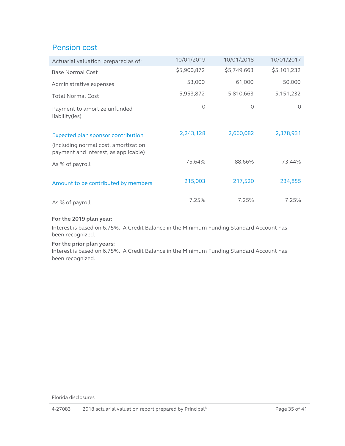# Pension cost

| Actuarial valuation prepared as of:                                                                                | 10/01/2019  | 10/01/2018  | 10/01/2017  |
|--------------------------------------------------------------------------------------------------------------------|-------------|-------------|-------------|
| <b>Base Normal Cost</b>                                                                                            | \$5,900,872 | \$5,749,663 | \$5,101,232 |
| Administrative expenses                                                                                            | 53,000      | 61,000      | 50,000      |
| <b>Total Normal Cost</b>                                                                                           | 5,953,872   | 5,810,663   | 5, 151, 232 |
| Payment to amortize unfunded<br>liability(ies)                                                                     | 0           | 0           | $\circ$     |
| Expected plan sponsor contribution<br>(including normal cost, amortization<br>payment and interest, as applicable) | 2,243,128   | 2,660,082   | 2,378,931   |
| As % of payroll                                                                                                    | 75.64%      | 88.66%      | 73.44%      |
| Amount to be contributed by members                                                                                | 215,003     | 217,520     | 234,855     |
| As % of payroll                                                                                                    | 7.25%       | 7.25%       | 7.25%       |

#### **For the 2019 plan year:**

Interest is based on 6.75%. A Credit Balance in the Minimum Funding Standard Account has been recognized.

#### **For the prior plan years:**

Interest is based on 6.75%. A Credit Balance in the Minimum Funding Standard Account has been recognized.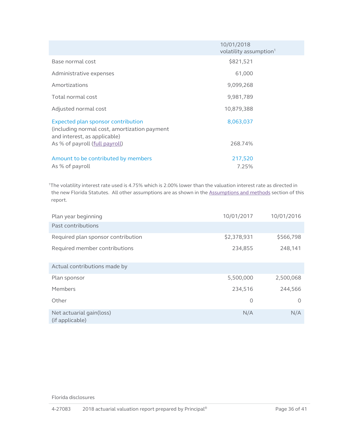|                                                                                                                    | 10/01/2018<br>volatility assumption <sup>1</sup> |
|--------------------------------------------------------------------------------------------------------------------|--------------------------------------------------|
| Base normal cost                                                                                                   | \$821,521                                        |
| Administrative expenses                                                                                            | 61,000                                           |
| Amortizations                                                                                                      | 9,099,268                                        |
| Total normal cost                                                                                                  | 9,981,789                                        |
| Adjusted normal cost                                                                                               | 10,879,388                                       |
| Expected plan sponsor contribution<br>(including normal cost, amortization payment<br>and interest, as applicable) | 8,063,037                                        |
| As % of payroll (full payroll)                                                                                     | 268.74%                                          |
| Amount to be contributed by members<br>As % of payroll                                                             | 217,520<br>7.25%                                 |

1The volatility interest rate used is 4.75% which is 2.00% lower than the valuation interest rate as directed in the new Florida Statutes. All other assumptions are as shown in the [Assumptions and methods](#page-22-2) section of this report.

| Plan year beginning                         | 10/01/2017  | 10/01/2016 |
|---------------------------------------------|-------------|------------|
| Past contributions                          |             |            |
| Required plan sponsor contribution          | \$2,378,931 | \$566,798  |
| Required member contributions               | 234,855     | 248,141    |
| Actual contributions made by                |             |            |
| Plan sponsor                                | 5,500,000   | 2,500,068  |
| Members                                     | 234,516     | 244,566    |
| Other                                       | 0           | $\Omega$   |
| Net actuarial gain(loss)<br>(if applicable) | N/A         | N/A        |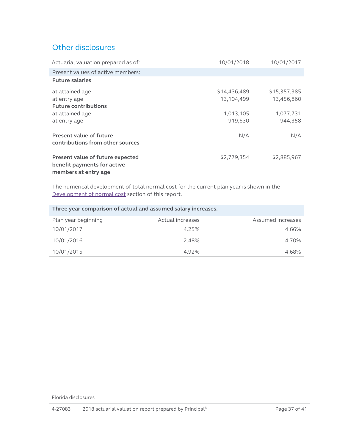# Other disclosures

| Actuarial valuation prepared as of:                                                     | 10/01/2018                 | 10/01/2017                 |
|-----------------------------------------------------------------------------------------|----------------------------|----------------------------|
| Present values of active members:                                                       |                            |                            |
| <b>Future salaries</b>                                                                  |                            |                            |
| at attained age<br>at entry age<br><b>Future contributions</b>                          | \$14,436,489<br>13,104,499 | \$15,357,385<br>13,456,860 |
| at attained age<br>at entry age                                                         | 1,013,105<br>919,630       | 1,077,731<br>944,358       |
| Present value of future<br>contributions from other sources                             | N/A                        | N/A                        |
| Present value of future expected<br>benefit payments for active<br>members at entry age | \$2,779,354                | \$2,885,967                |

The numerical development of total normal cost for the current plan year is shown in the Development of normal cost section of this report.

| Three year comparison of actual and assumed salary increases. |                  |                   |  |  |  |  |  |  |  |  |
|---------------------------------------------------------------|------------------|-------------------|--|--|--|--|--|--|--|--|
| Plan year beginning                                           | Actual increases | Assumed increases |  |  |  |  |  |  |  |  |
| 10/01/2017                                                    | 4.25%            | 4.66%             |  |  |  |  |  |  |  |  |
| 10/01/2016                                                    | 2.48%            | 4.70%             |  |  |  |  |  |  |  |  |
| 10/01/2015                                                    | 4.92%            | 4.68%             |  |  |  |  |  |  |  |  |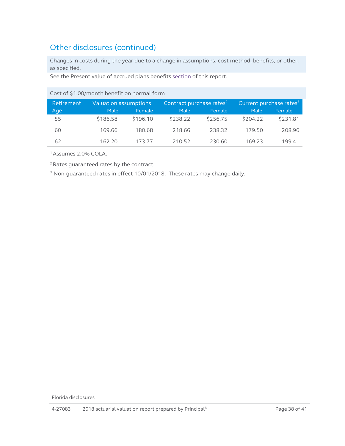# Other disclosures (continued)

Changes in costs during the year due to a change in assumptions, cost method, benefits, or other, as specified.

See the Present value of accrued plans benefits [section](#page-26-2) of this report.

| Cost of \$1.00/month benefit on normal form |                                       |          |                                      |          |                                     |          |  |  |  |  |  |  |
|---------------------------------------------|---------------------------------------|----------|--------------------------------------|----------|-------------------------------------|----------|--|--|--|--|--|--|
| Retirement                                  | $\mathsf{Valuation}$ assumptions $^1$ |          | Contract purchase rates <sup>2</sup> |          | Current purchase rates <sup>3</sup> |          |  |  |  |  |  |  |
| Age                                         | Male                                  | Female   | Male                                 | Female   | Male                                | Female   |  |  |  |  |  |  |
| 55                                          | \$186.58                              | \$196.10 | \$238.22                             | \$256.75 | \$204.22                            | \$231.81 |  |  |  |  |  |  |
| 60                                          | 169.66                                | 180.68   | 218.66                               | 238.32   | 179.50                              | 208.96   |  |  |  |  |  |  |
| 62                                          | 162.20                                | 173 77   | 210.52                               | 230.60   | 169.23                              | 199.41   |  |  |  |  |  |  |

1 Assumes 2.0% COLA.

2 Rates guaranteed rates by the contract.

<sup>3</sup> Non-guaranteed rates in effect 10/01/2018. These rates may change daily.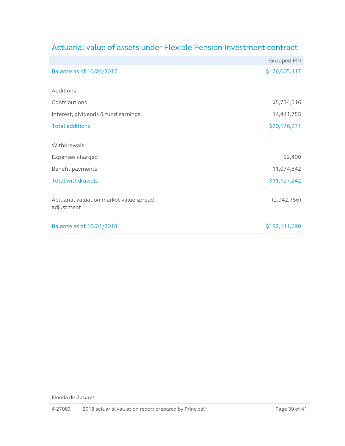|                                                       | <b>Grouped FPI</b> |
|-------------------------------------------------------|--------------------|
| Balance as of 10/01/2017                              | \$176,005,417      |
| Additions                                             |                    |
| Contributions                                         | \$5,734,516        |
| Interest, dividends & fund earnings                   | 14,441,755         |
| <b>Total additions</b>                                | \$20,176,271       |
| Withdrawals                                           |                    |
| Expenses charged                                      | 52,400             |
| Benefit payments                                      | 11,074,842         |
| <b>Total withdrawals</b>                              | \$11,127,242       |
| Actuarial valuation market value spread<br>adjustment | (2,942,756)        |
| Balance as of 10/01/2018                              | \$182,111,690      |

# Actuarial value of assets under Flexible Pension Investment contract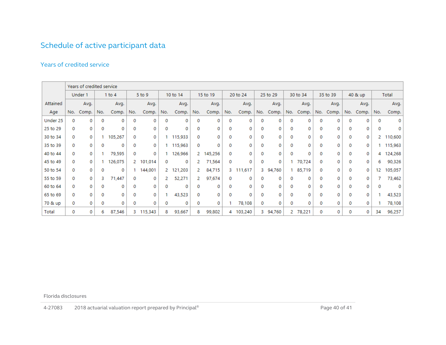# Schedule of active participant data

## Years of credited service

<span id="page-39-0"></span>

|          | Years of credited service |         |     |            |             |         |          |           |          |           |     |          |          |          |             |          |     |         |     |       |       |         |
|----------|---------------------------|---------|-----|------------|-------------|---------|----------|-----------|----------|-----------|-----|----------|----------|----------|-------------|----------|-----|---------|-----|-------|-------|---------|
|          |                           | Under 1 |     | $1$ to $4$ | $5$ to $9$  |         | 10 to 14 |           | 15 to 19 | 20 to 24  |     | 25 to 29 |          | 30 to 34 |             | 35 to 39 |     | 40 & up |     | Total |       |         |
| Attained |                           | Avg.    |     | Avg.       |             | Avg.    |          | Avg.      |          | Avg.      |     | Avg.     |          | Avg.     |             | Avg.     |     | Avg.    |     | Avg.  |       | Avg.    |
| Age      | No.                       | Comp.   | No. | Comp.      | No.         | Comp.   | No.      | Comp.     | No.      | Comp.     | No. | Comp.    | No.      | Comp.    | No.         | Comp.    | No. | Comp.   | No. | Comp. | No.   | Comp.   |
| Under 25 | $\Omega$                  | 0       | 0   | 0          | 0           | 0       | 0        | 0         | 0        | 0         | 0   | 0        | 0        | 0        | 0           | 0        | 0   | 0       | 0   | 0     | 0     | 0       |
| 25 to 29 | 0                         | 0       | 0   | 0          | 0           | 0       | 0        | 0         | 0        | 0         | 0   | 0        | 0        | 0        | 0           | 0        | 0   | 0       | 0   | 0     | 0     | 0       |
| 30 to 34 | 0                         | 0       |     | 105,267    | 0           | 0       |          | 115,933   | 0        | 0         | 0   | 0        | 0        | ٥        | 0           | 0        |     | 0       |     | 0     | $2 -$ | 110,600 |
| 35 to 39 | 0                         | 0       | 0   | 0          | 0           | 0       |          | 115,963   | 0        | 0         | 0   | 0        | 0        | 0        | 0           | 0        | 0   | 0       | 0   | 0     |       | 115,963 |
| 40 to 44 | 0                         | 0       |     | 79,595     | $\mathbf 0$ | 0       |          | 126,966   |          | 2 145,256 | 0   | $\Omega$ | 0        | 0        | $\mathbf 0$ | 0        | 0   | 0       | 0   | 0     | 4     | 124,268 |
| 45 to 49 | 0                         | 0       |     | 126,075    | 2.          | 101,014 | 0        | 0         | 2        | 71,564    | 0   | 0        | 0        | 0        |             | 70,724   | 0   | 0       |     | 0     | 6     | 90,326  |
| 50 to 54 | 0                         | 0       | 0   | 0          |             | 144,001 |          | 2 121,203 | 2.       | 84,715    | 3.  | 111,617  |          | 3 94,760 |             | 85,719   | 0   | 0       | 0   | 0     | 12    | 105,057 |
| 55 to 59 | 0                         | 0       | з   | 71,447     | 0           | 0       | 2.       | 52,271    | 2.       | 97,674    | 0   | 0        | 0        | 0        | 0           | 0        | 0   | 0       | 0   | 0     |       | 73,462  |
| 60 to 64 | 0                         | 0       | 0   | 0          | 0           | 0       | 0        | 0         | 0        | 0         | 0   | 0        | $\Omega$ | 0        | $\mathbf 0$ | 0        | 0   | 0       | 0   | 0     |       | 0       |
| 65 to 69 | 0                         | 0       | 0   | 0          | 0           | 0       |          | 43,523    | 0        | 0         | 0   | 0        | 0        | 0        | 0           | 0        |     | 0       |     | 0     |       | 43,523  |
| 70 & up  | 0                         | 0       | 0   | 0          | 0           | 0       | 0        | 0         | 0        | 0         |     | 78,108   | 0        | 0        | 0           | 0        | 0   | 0       | 0   | 0     |       | 78,108  |
| Total    | 0                         | 0       | 6   | 87,546     | з.          | 115,343 | 8        | 93,667    | 8        | 99,802    | 4   | 103,240  |          | 3 94,760 |             | 2 78,221 | 0   | 0       | 0   | 0     | 34    | 96,257  |